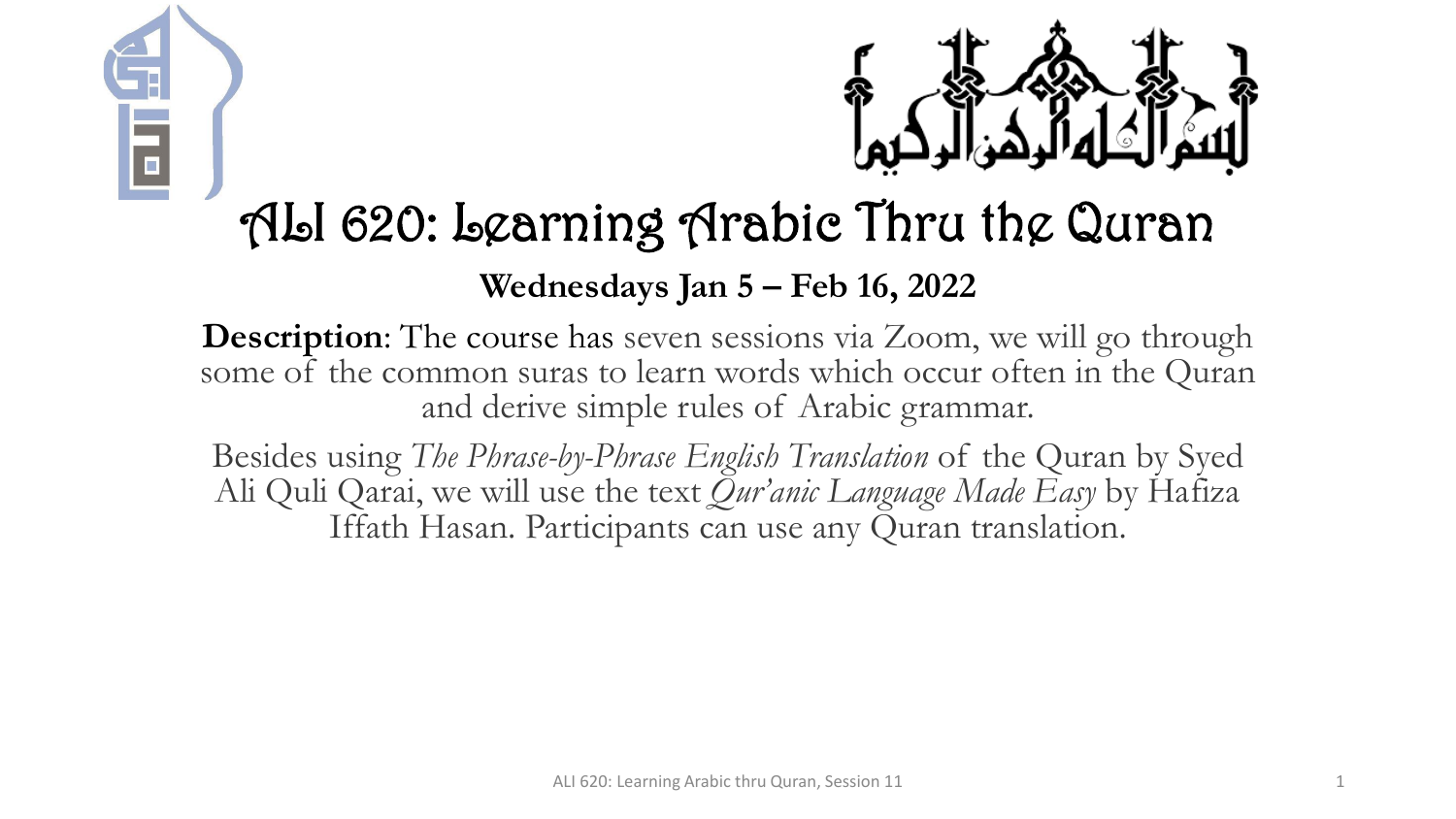



# ALI 620: Learning Arabic Thru the Quran

#### **Wednesdays Jan 5 – Feb 16, 2022**

**Description:** The course has seven sessions via Zoom, we will go through some of the common suras to learn words which occur often in the Quran and derive simple rules of Arabic grammar.

Besides using *The Phrase-by-Phrase English Translation* of the Quran by Syed Ali Quli Qarai, we will use the text *Qur'anic Language Made Easy* by Hafiza Iffath Hasan. Participants can use any Quran translation.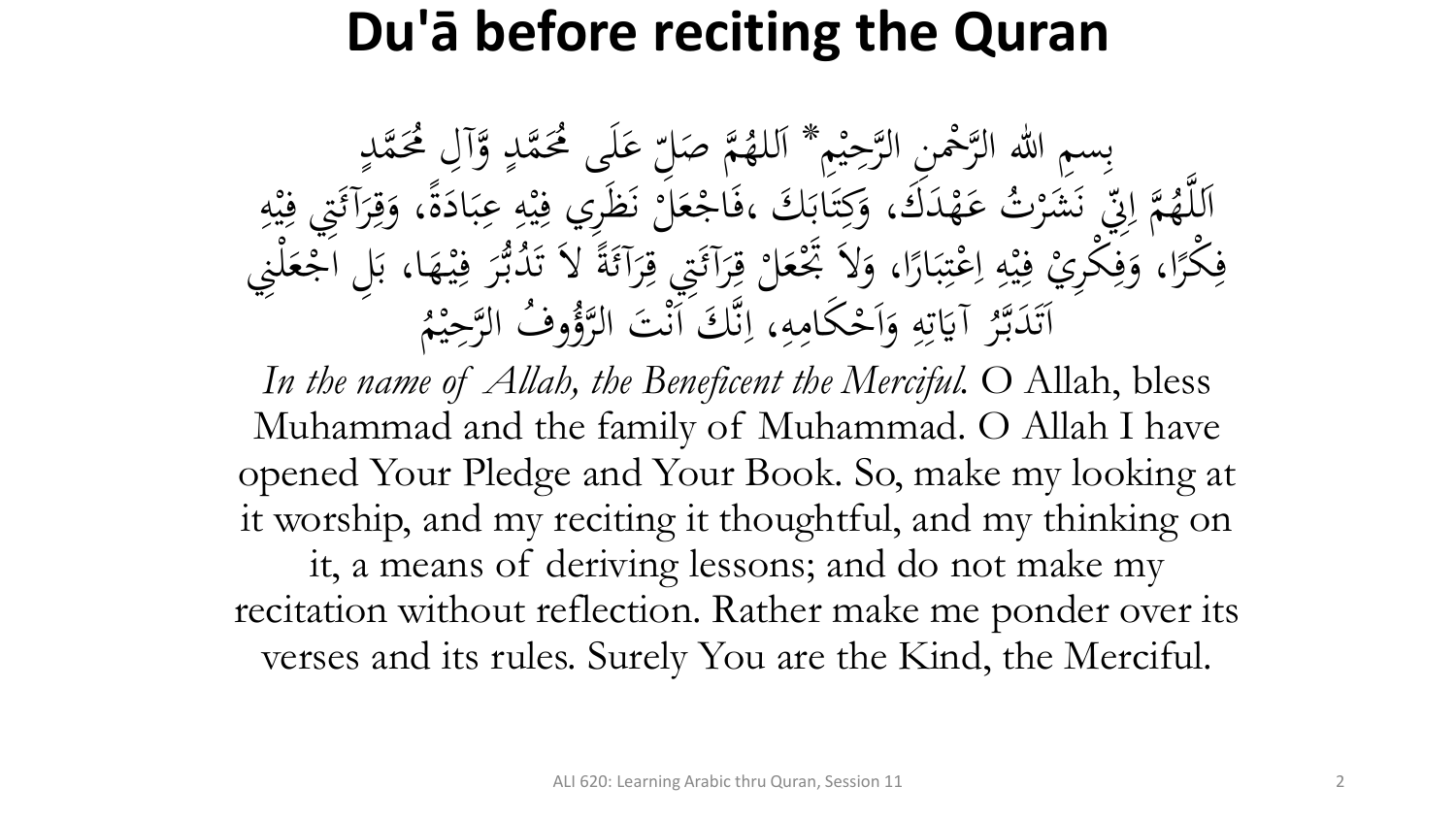# **Du'ā before reciting the Quran**

بِسِمِ اللهِ الرَّحْمِنِ الرَّحِيْمِ \* اَللهُمَّ صَلِّ<br>مَّذَبَهُ وَصَلَّى الرَّحِيْمِ \* اَللهُمَّ صَل م<br>م ه<br>يه ب<br>ه **€** للهُمَّ صَلِّ عَلَى مُحَمَّدٍ وَّآلِ مُحَمَّدٍ<br>مدين من الله  $\frac{1}{2}$ ا  $\overline{a}$  $\overline{a}$ لم<br>ح ى<br>. َ َك مد ه ت ع **ک** رت<br>.。 شر َ َ ن<br>فر س<br>رقب<br>رقب مَّة إِلَيْ<br>مَ إِلَيْ  $\overline{\mathcal{L}}$ ا ہے<br>، اَللَّهُمَّ إِنِّي نَشَرْتُ عَهْدَكَ، وَكِتَابَكَ ،فَاجْعَلَّ نَظَرِي فِيْهِ عِبَادَةً، وَقِرَآئَتِي فِيْهِ<br>حَمَّا رَبِّي مَشَرْتُ عَهْدَكَ، وَكِتَابَكَ ،فَاجْعَلَّ نَظَرِي فِيْهِ عِبَادَةً، وَقِرَآئَتِي فِيْهِ ا<br>۔  $\frac{1}{2}$ بز و<br>را ا<br>ما  $\ddot{\cdot}$ بر ِ  $\frac{1}{2}$ ه<br>به <u>،</u> بر<br>فر م ر<br>بر<br>بر <u>ة</u>  $\ddot{\circ}$ ر<br>ا <u>ة</u> َ ِ مد<br>م ه<br>بد <u>،</u> م<br>گ ر<br>گ  $\int$  $\overline{\phantom{a}}$ فِكْرًا، وَفِكْرِيْ فِيْهِ اِعْتِبَارًا، وَلاَ تَجْعَلْ قِرَآئَتِي قِرَآئَةً لاَ تَدُبُّرَ فِيْهَا، بَلِ اَجْعَلْنِي<br>مَكْرًا، وَفِكْرِيْ فِيْهِ إِعْتِبَارًا، وَلاَ تَجْعَلْ قِرَآئَتِي قِرَآئَةً لاَ تَدُبُّرَ فِيْهَا، بَلِ  $\frac{1}{2}$  $\ddot{\cdot}$ ۰.<br>ه ہ<br>ر ر<br>ا  $\ddot{\cdot}$ بر  $\ddot{.}$ :<br>\*<br>/ ى<br>م  $\frac{1}{2}$ ا ِ  $\frac{1}{2}$ ه<br>به ِ<br>ِهِ و<br>ِ ر<br>ا **ٔ فا** م ر<br>ر ِ<br>په م<br>گ ë<br>. م<br>گ ر<br>گ ت<br>ا **م**<br>. ب<br>.  $\epsilon$  $\ddot{.}$ ِ ر<br>tı ِ آيَاتِهِ وَأَحْكَامِهِ  $\mathbf{A}$ ا<br>م  $\frac{1}{2}$ ا ہ<br>ر ِ ِ<br>ٽ قة<br>م  $\ddot{\ddot{\bm{x}}}$ ر<br>ح اَتَدَبَّرُ آيَاتِهِ وَاَحْكَامِهِ، اِنَّكَ اَنْتَ ا<br>مستقط الله عليها الله عليها الله ل<br>ا تى<br>. بر<br>ن  $\ddot{\phantom{0}}$  $\ddot{\phantom{a}}$ .<br>ر ق.<br>ف  $\int$ بر<br>ز  $\overline{\mathcal{L}}$ ا م<br>. وفُ الرَّحِيْمُ  $\ddot{ }$ ه<br>ي لتَوُّرُّ<br>لروًّا

In the name of Allah, the Beneficent the Merciful. O Allah, bless Muhammad and the family of Muhammad. O Allah I have opened Your Pledge and Your Book. So, make my looking at it worship, and my reciting it thoughtful, and my thinking on it, a means of deriving lessons; and do not make my recitation without reflection. Rather make me ponder over its verses and its rules. Surely You are the Kind, the Merciful.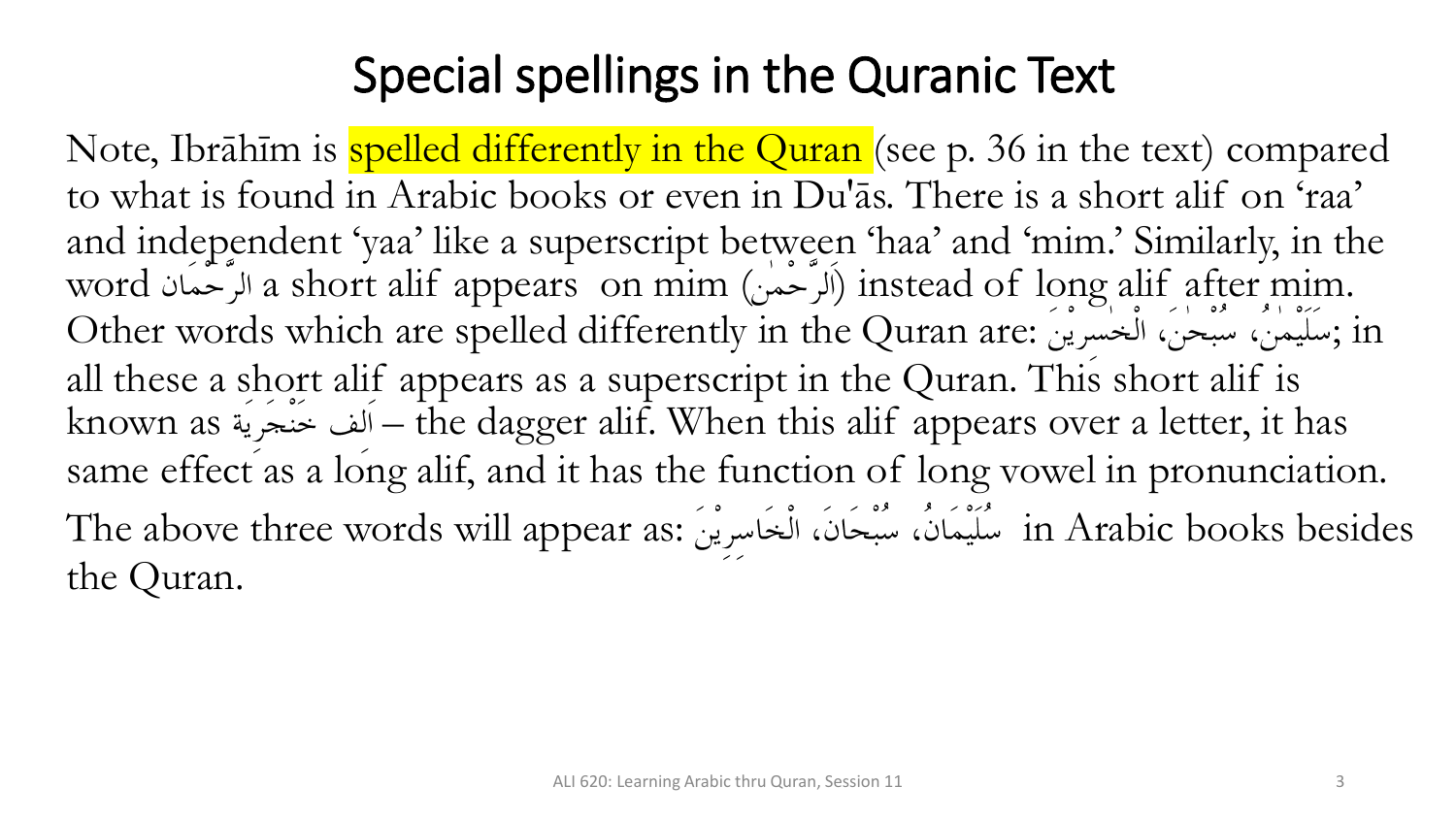### Special spellings in the Quranic Text

Note, Ibrāhīm is spelled differently in the Quran (see p. 36 in the text) compared to what is found in Arabic books or even in Du'ās. There is a short alif on 'raa' and independent 'yaa' like a superscript between 'haa' and 'mim.' Similarly, in the word a short alif appears on mim ( ) instead of long alif after mim. Other words which are spelled differently in the Quran are: ; in all these a short alif appears as a superscript in the Quran. This short alif is known as فنجرية – the dagger alif. When this alif appears over a letter, it has same effect as a long alif, and it has the function of long vowel in pronunciation. The above three words will appear as: in Arabic books besides the Quran.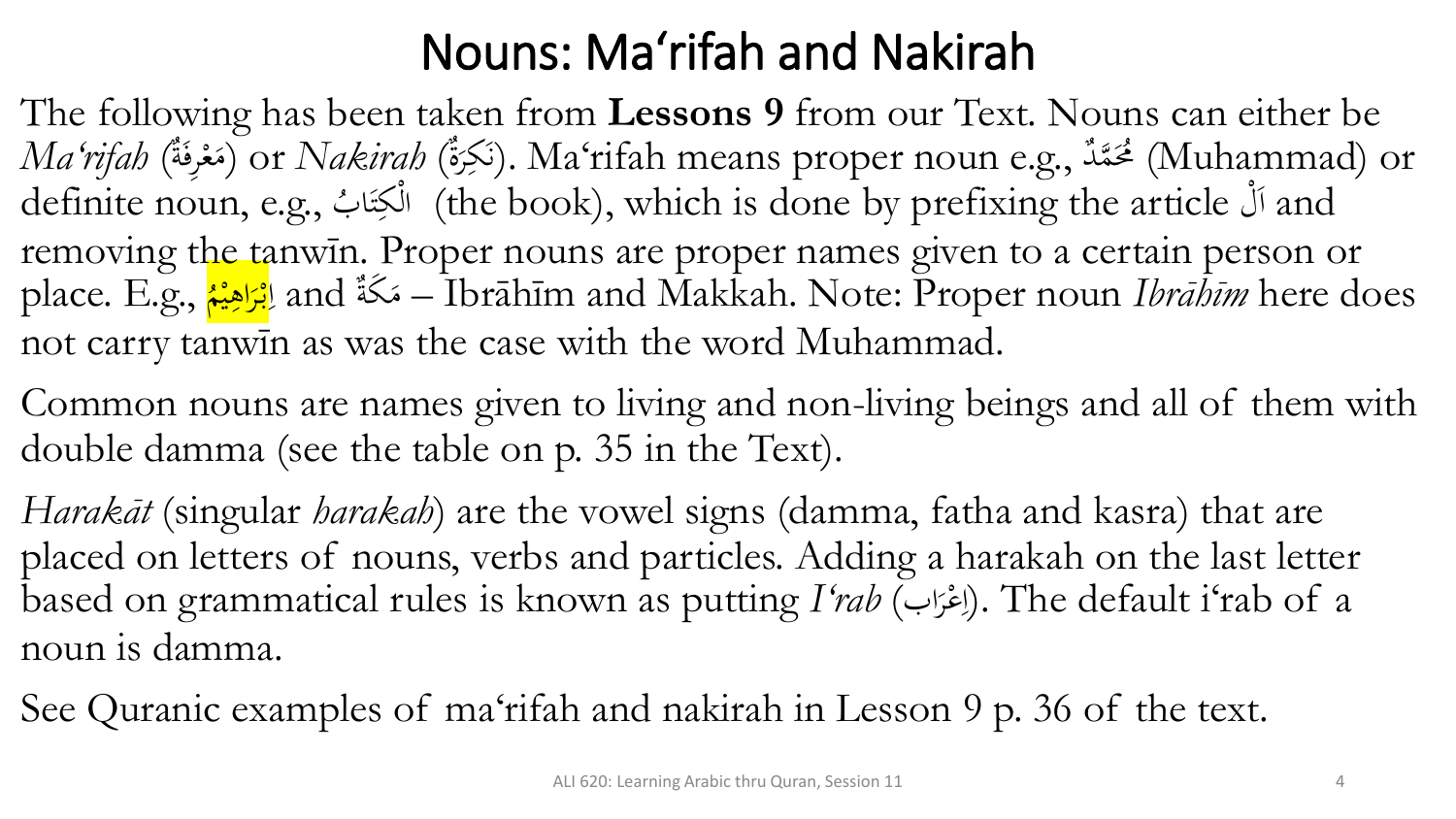### Nouns: Ma'rifah and Nakirah

The following has been taken from **Lessons 9** from our Text. Nouns can either be *Ma'rifah (تَكِرَةٌ).* Ma'rifah means proper noun e.g., مُعْرِفَةٌ) Ma'rifah means proper noun فَقَدٌ (Muhammad) or م  $\mathcal{A}$ ر<br>1 definite noun, e.g., ب ً<br>ِ أَلْكِتَا (the book), which is done by prefixing the article أَلْمَا and  $\ddot{\lambda}$ ت removing the tanwīn. Proper nouns are proper names given to a certain person or place. E.g., ا<mark>بْرَاهِيْم</mark>ْ ا <mark>ا</mark> لِمَرَاهِيْهُ) and أَمْرَاهِيْهُ) and — Ibrāhīm and Makkah. Note: Proper noun *Ibrāhīm* here does ا<br>ما ه<br>يم ।<br>द्र <mark>ز</mark> ب<br>-<br>- $\mathcal{L}$ not carry tanwīn as was the case with the word Muhammad.

Common nouns are names given to living and non-living beings and all of them with double damma (see the table on p. 35 in the Text).

*Harakāt* (singular *harakah*) are the vowel signs (damma, fatha and kasra) that are placed on letters of nouns, verbs and particles. Adding a harakah on the last letter based on grammatical rules is known as putting *I'rab* (اب ر ع ا(. The default i'rab of a ر<br>. م  $\frac{1}{2}$ noun is damma.

See Quranic examples of ma'rifah and nakirah in Lesson 9 p. 36 of the text.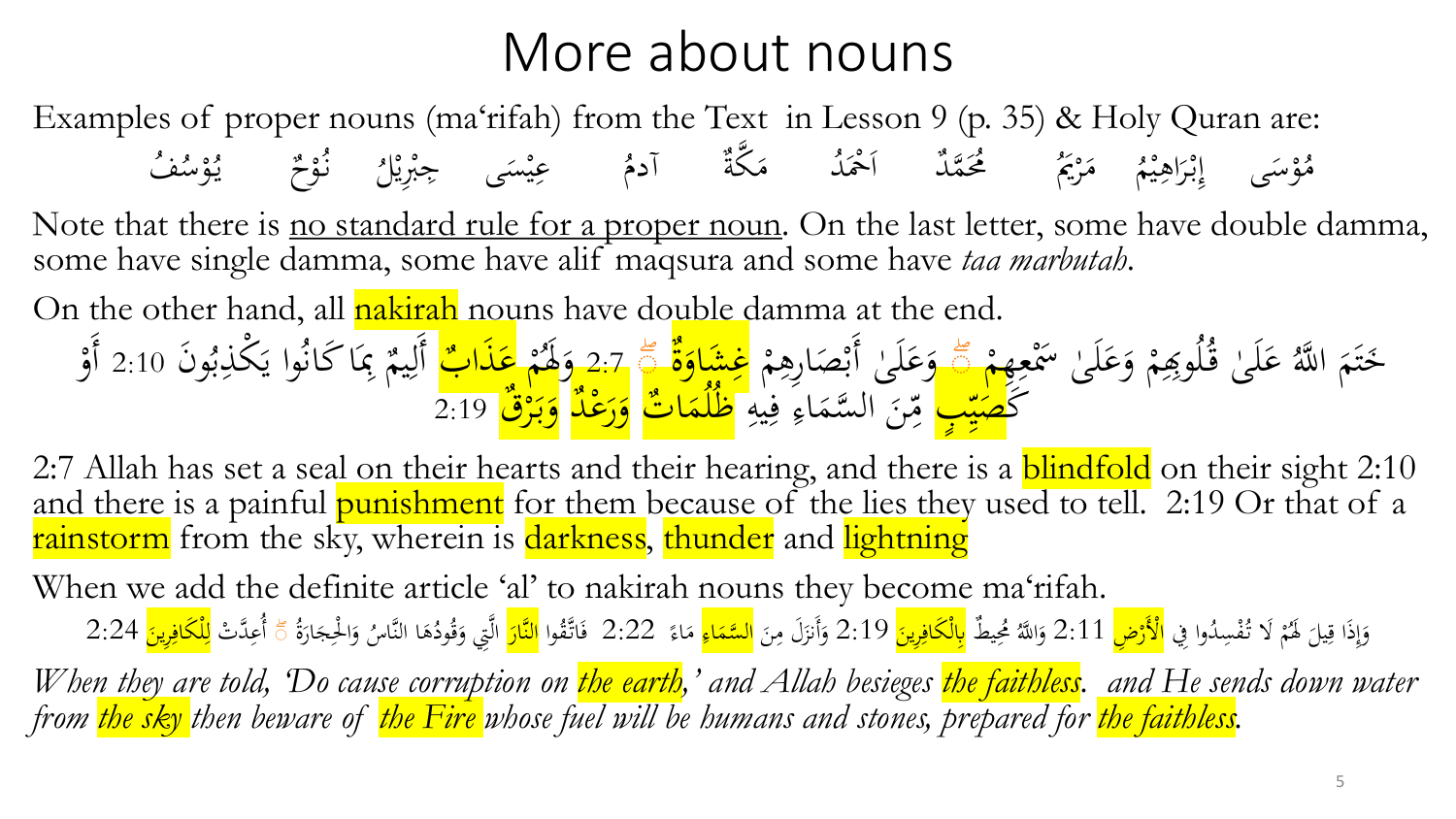### More about nouns

Examples of proper nouns (ma'rifah) from the Text in Lesson 9 (p. 35) & Holy Quran are:

َى س و م **لا** و<br>هر ُ بْرَاهِيْمُ مَرْيَمُ مُحَمَّدٌ اَحْمَدُ مَكَّةٌ  $\ddot{\cdot}$ ه<br>به ِ ر<br>( ب<br>.  $\int$ إ ر<br>ا  $\mathcal{L}$  $\mathcal{L}$ مُ آ<mark>دمُ</mark> عِيْسَى  $\overline{a}$ ه<br>يو جبريار<br>م ي ِ<br>پُ ا<br>با  $\zeta$ نٌوْحٌ يُوْسُفُ م م يا<br>. و<br>يە

Note that there is no standard rule for a proper noun. On the last letter, some have double damma, some have single damma, some have alif maqsura and some have *taa marbutah*.

On the other hand, all nakirah nouns have double damma at the end.

م عَلَىٰ قُلُوبِهِمْ وَعَلَىٰ سَمْعِهِمْ ِ<br>ِرِ ر<br>م **ک** َ م ا<br>ا **ک** ُ خَتَمَ اللَّهُ  $\mathfrak{g}$  $\frac{1}{2}$  $\dot{\phantom{0}}$  $\frac{1}{\sqrt{2}}$ ية وَعَلَىٰ أَبْصَارِهِمْ <mark>غِشَاوَةٌ</mark><br>صَّ وَعَلَىٰ أَبْصَارِهِمْ <mark>غِشَاوَةٌ</mark> وَ ب<br>ن ا<br>ا ى<br>س َ م  $\mathbf{z}$ و<br>د ة 2:7 وَهُمْ م وَهُمْ عَذَابٌ<br>إيره وه َ <mark>عَذَابٌ</mark><br>تهم <mark>ک</mark><br>ا ب<br>. و<br>بر ِ<br>بِمَا كَانُوا يَكْذِ يا<br>. ِ<br>ب  $\overline{\phantom{a}}$  $\mathfrak{g}$ يم وَن 2:10 أَل أَو ِ<br>ل ه<br>ر بَ<mark>ُ صَيْبٍ</mark>  $\frac{1}{2}$ س<br>م  $\overline{\phantom{a}}$ <mark>صَيِّبٍ</mark> مِّنَ السَّمَاءِ فِيهِ  $\frac{1}{4}$ .<br>يم  $\ddot{\cdot}$ ر<br>چ  $\blacklozenge$  $\ddot{\phantom{0}}$ ِس<br>م  $\frac{2}{\lambda}$ مِّنَ السَّمَاءِ فِيه<mark>ِ ظُلَّمَاتٌ</mark> وَرَعْدٌ وَبَرْقٌ 2:19  $\frac{1}{\sqrt{2}}$ <mark>ُل</mark><br>ا و<br>ا <mark>ر</mark><br>\_ <mark>ب</mark><br>-و<br>ا

2:7 Allah has set a seal on their hearts and their hearing, and there is a **blindfold** on their sight 2:10 and there is a painful punishment for them because of the lies they used to tell. 2:19 Or that of a rainstorm from the sky, wherein is darkness, thunder and lightning

When we add the definite article 'al' to nakirah nouns they become ma'rifah.

وَإِذَا قِيلَ لَهُمْ لَا تُفْسِدُوا فِي <mark>الْأَرْضِ</mark> 2:11 وَاللَّهُ مُحِيطٌ ب<mark>ِالْكَافِرِينَ</mark> 2:19 وَأَنزَلَ مِنَ <mark>السَّمَاءِ</mark> مَاءً 2:22 فَاتَّقُوا <mark>النَّارَ</mark> الَّتِي وَقُودُهَا النَّاسُ وَالْحِجَارَةُ م  $\overline{\phantom{0}}$ <u>،</u>  $\int$ إ َ ار<br>ا َ <u>َ</u> ِ  $\ddot{\phantom{0}}$  $\mathbf{A}$ ز<br>ً َ ِ<br>ِع  $\frac{2}{\sqrt{2}}$  $\frac{1}{2}$ َ ة<br>م <mark>ُ</mark> َ ا<br>ا َ **م** َ  $\frac{2}{\sqrt{2}}$ ًا أُعِدَّتْ لِ<mark>لْكَافِرِينَ</mark> 2:24 <u>ا</u> ِ

*When they are told, 'Do cause corruption on the earth, ' and Allah besieges the faithless. and He sends down water from the sky then beware of the Fire whose fuel will be humans and stones, prepared for the faithless.*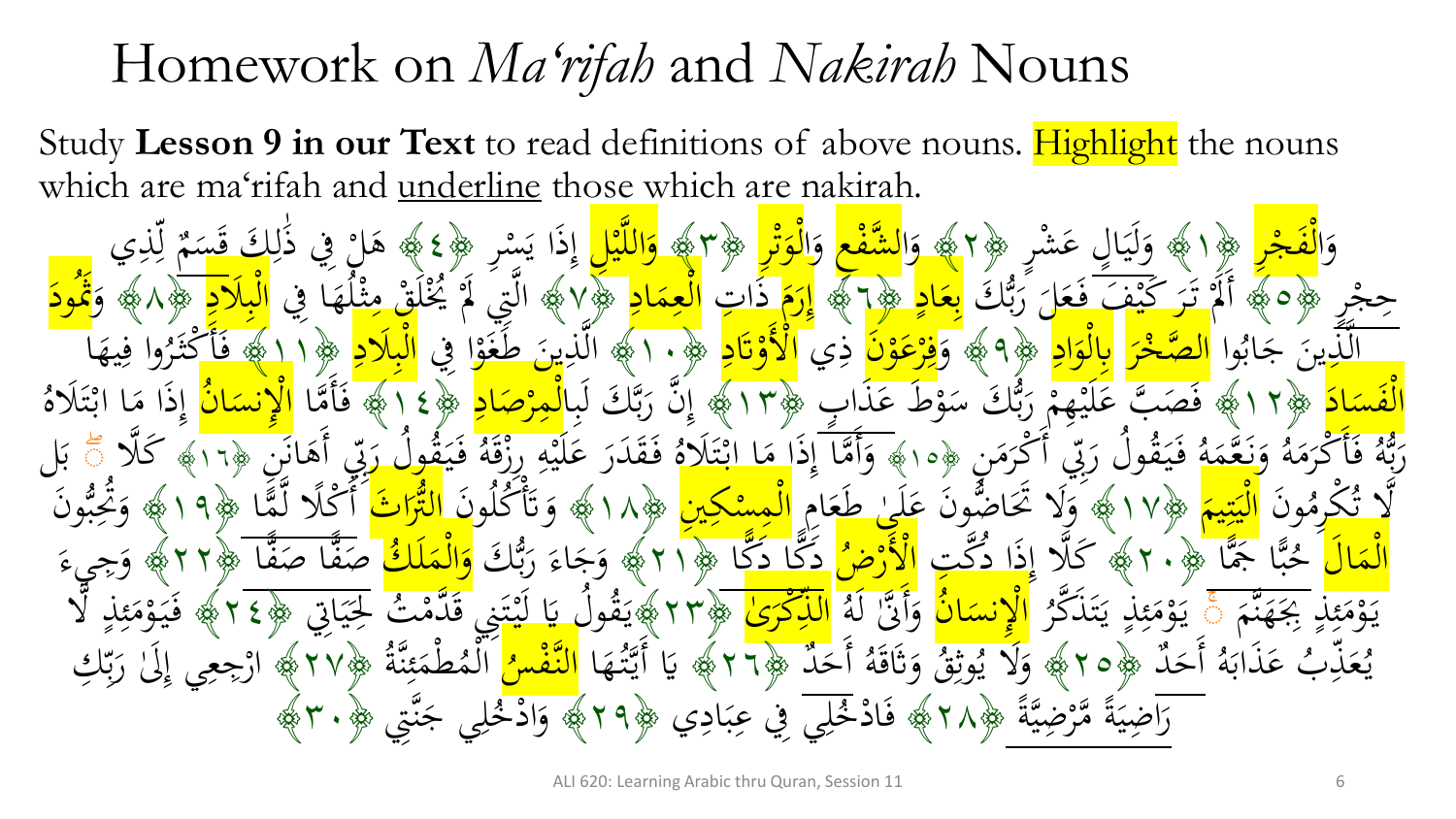### Homework on *Ma'rifah* and *Nakirah* Nouns

Study **Lesson 9 in our Text** to read definitions of above nouns. Highlight the nouns which are ma'rifah and underline those which are nakirah.

ا َ وَالْفَجْرِ م فَجْرٍ ﴿ اللَّهِ اللَّهِ ل<br>ا لْفَجْرِ ﴿ اللَّهِ وَلَيَالٍ  $\int$ ا  $\ddot{\cdot}$ لَي ە<br>ئە ر<br>پر .<br>ر وَلَيَالٍ عَشْ ىَ شە<br>ئىسا عَشْرِ ﴿٢﴾ وَا<mark>لشَّفْعِ</mark> وَا<mark>لْوَتْرِ</mark> ﴿٣﴾ <mark>وَاللَّيْلِ</mark> إِذَا يَسْرِ ﴿٤﴾ هَلْ فِي ذَٰلِكَ<br>سَاحَقُوا وَرَسَعَ إِذَا يَسْمَعُ الْمَرْجَلَ َ .<br>م َ م<br>م ەر<br>ر ل<br>ا ل  $\frac{1}{1}$ ي ہ<br>ا مہ<br>ا ِ<br>ل ل ا<br>•<br>• ِ<br>في ذُ ل<br>أو هَان<br>پ ه  $\overline{\mathcal{C}}$ قَسَمٌ<br><mark>قسيمٌ</mark>  $\overline{a}$ ذِ ِ<br>ل ي <u>ل</u><br>> ل ر<br>پر  $\overline{a}$ م<br>.<br>. حِجْرِ ﴿٥﴾ أَلَمْ تَرَ كَيْفَ فَعَلَ زَبُّكَ بِعَادٍ ﴾ إِرَمَ ذَاتِ<br>سَنَبَتَهُ مِنْ اللهِ عَلَى اللهِ مِنْ اللهِ وَجَمْعَةٍ ﴾ إِرَمَ ذَاتِ  $\overline{\phantom{0}}$ ل<br>ا م<br>ا ।<br>प्र ا<br>ا َ <mark>ُل</mark><br>ا  $\sqrt{\frac{2}{2}}$ ।<br>⊇ ا<mark>لْعِمَادِ</mark> ﴿٧﴾ الَّتِيَ لَمْ يُخْلُقْ مِثْلُهَا فِي <mark>े</mark> ل<br>ا َ مِثْلُهَ<br>م ش<br>م  $\frac{1}{\sqrt{2}}$ م م م ِ ََلد بِلَا<mark>دِ</mark> ﴿٨﴾ ل<br>ا ال و<br>ِ وَقْودَ ود ِ<br>تُمُرِ وا ب<br>.<br>. اب ر<br>. ج .<br>-ين ≥ِ<br>ذِرِ َ<br>لُ ال <mark>ر</mark><br>ن خر .<br>ا ه<br><mark>حب</mark> ال َّ  $\frac{1}{2}$ اد ور<br>ا و ل<br>ا بِالْوَادِ ﴿٩﴾ وَ<mark>فِرْعَوْنَ</mark> ذِي ہ<br>ہ <mark>م</mark> <mark>ک</mark> <mark>ر</mark><br>ا  $\ddotsc$ ِ الْأَوْتَادِ ﴿١٠﴾ الَّذِينَ طَغَوْا فِي ہ<br>د م <u>َ</u> ।<br>।<br>प ََلد  $\overline{\cdot}$ بِلَادِ ﴿١١﴾ فَأَكْثَرُوا فِيهَا ل<br>ا ال ہے<br>، يه <u>،</u> وا ف ر<br>پر يَهِ<br>شرا سكثَّ<br>ما أَ َ بز<br><mark>ف</mark> ا<br>ما اد  $\frac{1}{\sqrt{2}}$ فَسَ<mark>ادَ</mark> ﴿١٢﴾ فَصَبَّ عَلَيْهِمْ رَبُّكَ سَوْطَ عَذَابٍ ﴿١٣﴾ إِنَّ رَبَّكَ لَبِا<mark>لْمِرْصَادِ</mark> ﴿١٣﴾ فَأَمَّا <mark>الْإِنسَانُ</mark><br>وَكَمَّةٌ وَ لَهُمْ إِنَّهُمْ وَ وَ لَهُمْ رَبُّكَ سَوْطَ عَذَابٍ ﴿١٣﴾ إِنَّ رَبَّكَ لَبِا<mark>لْمِرْص</mark> ل<br>. ال م<br>.  $\overline{a}$ بڑ<br>ب ر<br>ء م مبر<br>ر **ک** بَّ عَ<br>بُّ ءَ َسَ<br>ا  $\ddot{\phantom{0}}$ ِ<br>فُصَدَ  $\frac{1}{2}$ <u>ء</u><br>–  $\ddot{\cdot}$ بد<br>ب ُل<br>پ ا<br>ِءِ إ  $\frac{1}{2}$  $\frac{1}{\cdot}$ <mark>ر</mark>  $\overline{\phantom{a}}$ ل<br>ا ة<br>م  $\frac{1}{2}$ ا  $\frac{1}{\sqrt{2}}$ نس ْلِ ل<br>ا ا ه<br>س َذا م  $\int$ إ ُ تَلَاهُ<br>. ت ب<br>يبا ا اب رَبَّهُ فَأَكْرَمَهُ وَبَعْمَهُ فَيَقُولُ رَبِّي أَكْرَمَنِ ﴿١٠﴾ وَأَمَّا إِذَا مَا ابْتَلَاهُ فَقَدَرَ عَلَيْهِ رِزْقَ<br>بَوَ وَقَدْ الْمَرْدَةُ وَبِعْثُمَهُ فَيَقُولُ رَبِّي أَكْرَمَنِ ﴿١٠﴾ وَأَمَّا إِذَا مَا ابْتَلَاهُ ف ِم<br>ِ ر<br>ر ِ أَ أَ أَ لُ رَبِّي<br>، *ا*کستا وَيَتَقُوا<br>فَيَتَقُوا  $\frac{1}{\sqrt{2}}$ ة<br>م ے<br>ا وَنَعَّمَهُ<br>و  $\triangle$ م<br>ا ہے<br>. ڭزَمَهُ<br>ه  $\mathbf{A}$ ر<br>و م<br>أ ة<br>• ف ہے<br>م ه<br>م<br>م نت<br>بي<br>نت بر<br>برمبر<br>بر ر<br>ا قا<br>و .<br>و  $\frac{1}{4}$  $\mathbf{r}$ **ک** ر<br>` وَأَمَّا إِذَا مَا ابْتَلَاهُ فَقَدَرَ عَلَيْهِ رِزْقَهُ فَيَقُولُ رَبِّي أَهَانَنِ<br>نَيْ أَوْسِ مِنْ الْمَسْلِمِينِ وَالْجَمْعِ الْمَسْلِمَةِ وَالْمَسْلَمَةِ وَالْمَسْلَمَةِ وَالْمَسْلَمَةِ وَال  $\frac{1}{2}$ ب<br>م م<br>ا  $\int$ َ ازَ<br>م ه<br>. ِيِّ أَهَ ر<br>پېښې رَبِّي<br>أَحْتَجَ <u>لَ رَ.</u> ا<br>س  $\ddot{\cdot}$ <u>ة</u><br>. ُ َك ه ﴿١٦﴾ ََّل  $\frac{1}{2}$ َ قطع بَل<br>هند ب وَن  $\frac{1}{2}$ مكِرم ٽ<br>ا ال ت ن<br>لا <mark>ا</mark> يم ्<br>।<br>। <u>تني بن</u> ِ<br>پنجاب<br>سرچ <mark>يتيمَ</mark> ﴿١٧﴾ ل<br>ا ال وَلَا تَحَاضُونَ عَلَىٰ طَعَامَ <mark>الْمِسْكِينِ</mark> ﴿١٨﴾ وَتَأْكُلُونَ <mark>التَّرَاثُ</mark><br>يَبْسَى وَيَبْسَى وَيَبْسَى الْمَسْكِينِ َ ي<br>ا گ<br>پ ە<br>تا <mark>م</mark><br>ر ل<br>ا أ ت<br>ت ہ<br>ر ا ل<br>ا النُّرًا ىق<br>ك ڭلًا لُـ<br>م وَن أَ ا مًّا ﴿١٩﴾ وَمَحِبٌّ ن<br>م<br><del>∄</del> بڑ<br>بہ ِمِيمِيمِيمِ  $\sum_{i=1}^{n}$ ہ<br>ر و اَل <mark>े</mark><br>० ري<br>سا م <mark>ل</mark> <mark>َالْمَالُ</mark> حُبًّا جَمًّ سَّا<br>با بنگا<br>ج  $\overline{\phantom{a}}$ حُبَّا جَمًّا ﴿ ٢٠﴾ كَلَّا إِذَا دُكَّتِ <mark>الْأَرْضُ</mark><br>حُبَّا جَمًّا ﴿ ٢٠﴾ كَلَّا إِذَا دُكَّتِ الْأَرْضُ  $\int$ <mark>الْأَرْضُ</mark> دَكَّا دَكًّا ﴿٢١﴾ وَجَاءَ رَبُّكَ <mark>وَالْمَلَاكُ</mark> صَفًّا صَدَ<br>ءَبَّهُ أَمْرِ الْمَرْضِ الْمَدِيدِ الْمَدِيدِ وَ اللَّهَ عَلَى الْمَدَةِ وَ الْمَدَانِ بڑ<br>ب ر<br>أ ء<br>ر ر<br>ر لَ  $\frac{1}{\sqrt{2}}$ ل<br>ر و<br>پ  $\overline{\phantom{a}}$  $\frac{1}{2}$ فا ﴿٢٢﴾ ১.ઘ صَفَّا صَفًّا ﴿۲۲﴾ وَجِيءَ<br>اِ اِللہ کے اللہ مَنْ اُلَّہُ مِنْ اُلَّہُ يِ َ<br>وَجِ و م<br>ا م ِ<br>ند رية<br>نجذب ه م<br>أ ِبِ ا<br>ب ذ  $\mathbf{r}$ ئم م<br>ِ م م<br>. و يا<br>، ي ۖ ذ م و ر<br>ِ يَتَلَكُّرُ<br>يَتَلَكُّرُ  $\ddot{\lambda}$ بز یا<br>:  $\frac{1}{2}$ ِ<br>م ئم م<br>. م<br>بر<br>. يد<br>ر يَوْمَئِذُ يَتَذَكَّرُ <mark>الْإِنسَانُ</mark><br>\* <mark>َ ~</mark> لا<br>أ ا مَ أَنَّ لَهُ <mark>الذِّكْرَى</mark>ٰ ﴿٣٣﴾ يَقُولُ يَا لَيْتَنِي قَدَّمْتُ لِحَيَاتِي<br>وَأَنَّ لَهُ الذِّكْرَىٰ ﴿٣٣﴾ يَوْمِ النَّهُ وَ أَنَّ وَ وَ مَعْ الْمَرْسَ و<br>ر <mark>ر</mark><br>ا  $\ddot{\ddot{\cdot}}$ بر<br>بد ت<br>/ ت ْلِ مت<br>مق يَقُولُ يَا لَيْتَنِي قَدَّمْتُ لِحِيَاتِي ﴿٢٤﴾ فَيَوْمَئِذٍ لَّا ة<br>ق **: {** ت  $\frac{4}{1}$ یا<br>}<br>} ل َي ُ يہ<br>پو نة<br>كا  $\frac{1}{2}$ ذ ۔<br>جگہ ئم  $\mathcal{A}$ م م و  $\ddot{\ddot{\cdot}}$ ر<br>بد َ ف لى<br>ا بُ عَذَابَهُ ب<br>. **ک** ا<br>ا دَ بَدْ<br>مَحْلِهِ **گر** يا<br>. د ي َ أَحَلٌ ﴿10﴾ وَثَاقَهُ<br>مصنده و<br>ر ُ<br>ب ق وث ِ<br>نِ وَلَا يُوثِقُ وَثَاقَهُ أَحَدٌ ﴿٢٦﴾ يَا أَيَّتُهَا<br>يَبْرَ الْمَدِينَ وَإِذَا لَهُمْ يَا أَيَّتُهُمْ إِنَّهُمْ يَا أَيَّتُهُمْ إِنَّهُمْ ہ<br>پہ ہے<br>.  $\ddot{.}$ <mark>ئ</mark> الھ<br>فرا النَّفْسُ<sup>م</sup>ُ .<br>م هُطْمَئِنَّةٌ ﴿١٧﴾ ٣ ن<br>نر َ<br>جگہ ئم ھ<br>ن  $\overline{1}$ م مَّةً عَلَيْتَةُ ﴿٧٦﴾ ارْجِعِي إِلَىٰ رَبِّكِ ر<br>نر بد<br>فر  $\overline{\phantom{a}}$ ر،<br>رو ََلٰ  $\int$ ٌ ر<br>ا  $\ddot{a}$ \_<br>رَاضِيَةً مَّرْضِيَّةً ﴾٢٨﴾ فَادْخُلِي فِي عِبَادِي ر<br>\_  $\ddot{\cdot}$ ا  $\overline{\phantom{a}}$ ِ<br>ِ ر  $\ddot{\cdot}$ بر  $\overline{\mathsf{I}}$ .<br>م فَادْخُلِي فِي عِبَادِي ﴿٢٩﴾ اللَّهِ وَادْخُلِي جَنَّتِي م **بر**<br>.  $\overline{1}$ .<br>م وَادْخُلِي جَنَّتِي ﴿٣٠﴾ م َ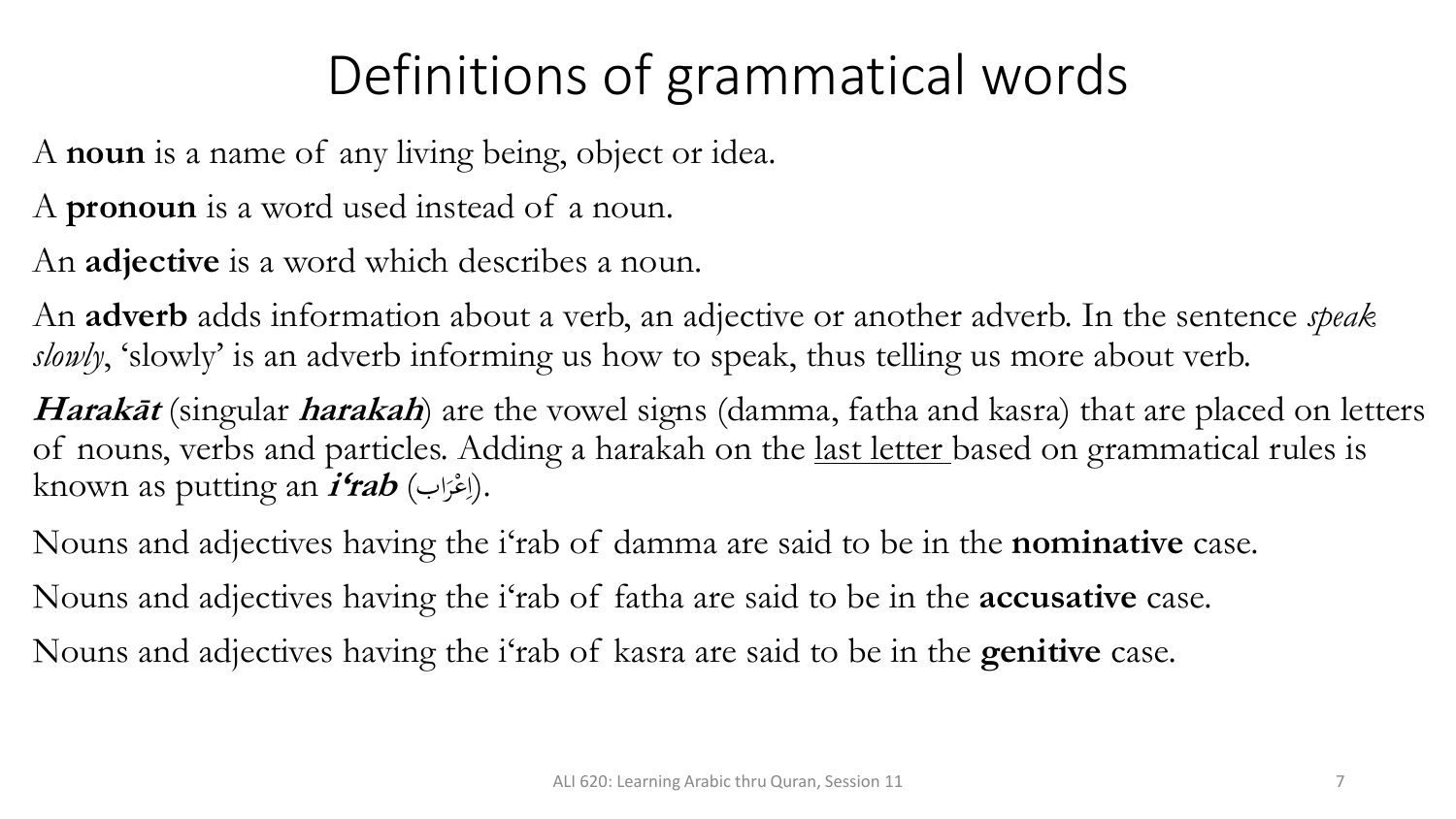# Definitions of grammatical words

A **noun** is a name of any living being, object or idea.

A **pronoun** is a word used instead of a noun.

An **adjective** is a word which describes a noun.

An **adverb** adds information about a verb, an adjective or another adverb. In the sentence *speak*  slowly, 'slowly' is an adverb informing us how to speak, thus telling us more about verb.

**Harakāt** (singular **harakah**) are the vowel signs (damma, fatha and kasra) that are placed on letters of nouns, verbs and particles. Adding a harakah on the last letter based on grammatical rules is known as putting an **i'rab** (اب مر ع .(ا ر<br>.  $\overline{\mathcal{L}}$ 

Nouns and adjectives having the i'rab of damma are said to be in the **nominative** case. Nouns and adjectives having the i'rab of fatha are said to be in the **accusative** case. Nouns and adjectives having the i'rab of kasra are said to be in the **genitive** case.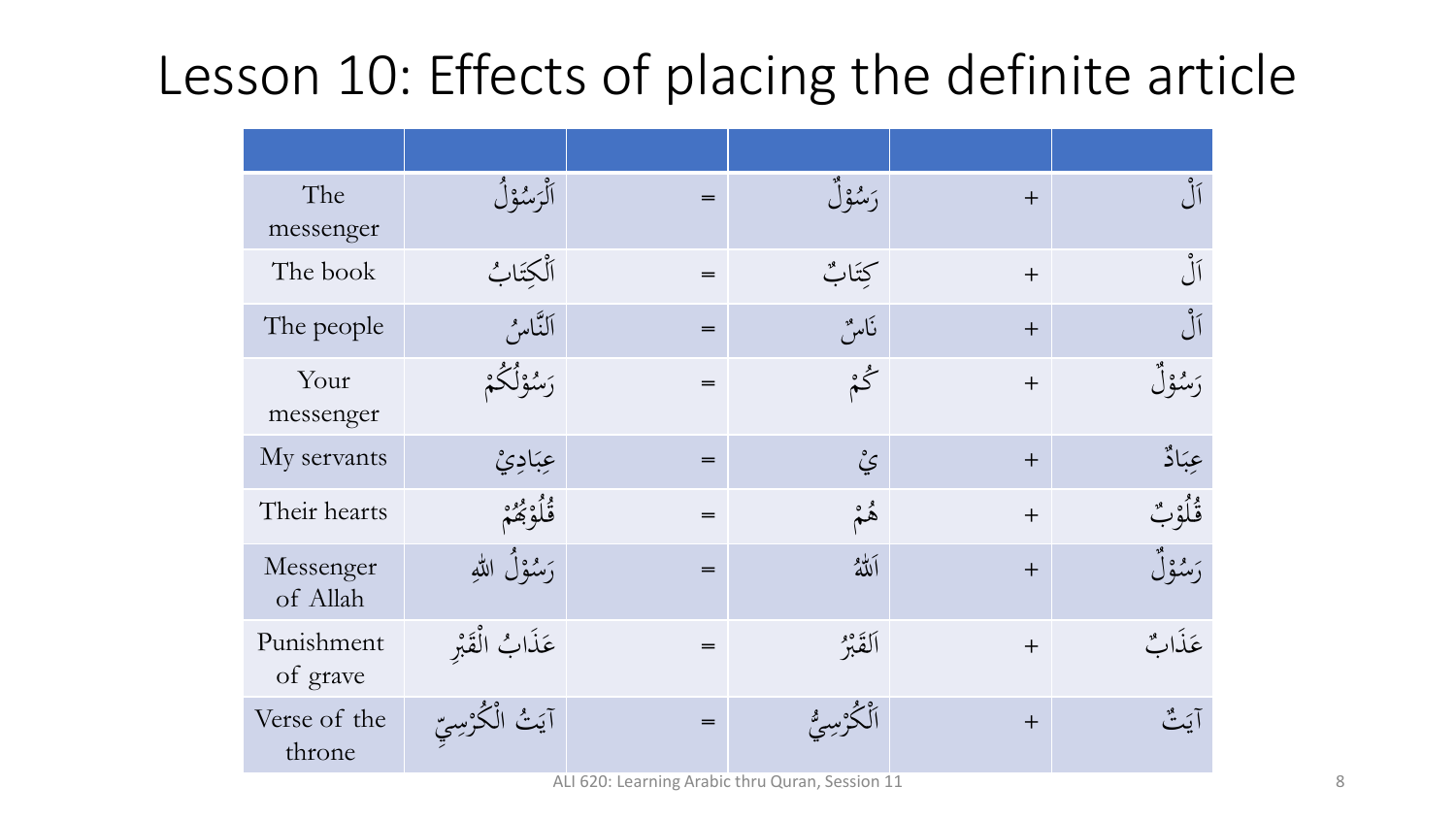# Lesson 10: Effects of placing the definite article

| The<br>messenger       | أَلْرَسُوْلُ       | $=$ | رَسُوْلُ     | $+$ | أل                  |
|------------------------|--------------------|-----|--------------|-----|---------------------|
| The book               | ٱلْكِتَابُ         | $=$ | كِتَابٌ      | $+$ | $\int_{0}^{\infty}$ |
| The people             | ألتَّاسُ           | $=$ | نامير        | $+$ | $\bigcup$           |
| Your<br>messenger      | رَسُوْلُكُمْ       | $=$ | ݣُمْ         | $+$ | رَسُوْلُ            |
| My servants            | عِبَادِيْ          | $=$ | يُ           | $+$ | عِبَادٌ             |
| Their hearts           | قُلُوْبَهُمْ       | $=$ | ۿ۫           | $+$ | ڨؙڶۘؗۅ۠ٮؙؚ          |
| Messenger<br>of Allah  | رَسُوْلُ اللهِ     | $=$ | ألله         | $+$ | رَسُوْلُ            |
| Punishment<br>of grave | عَذَابُ الْقَبْرِ  | $=$ | ألقَبْرُ     | $+$ | عَذَاتٌ             |
| Verse of the<br>throne | آيَتُ الْكُرْسِيِّ | $=$ | الْكُرْسِيُّ | $+$ | آيَتٌ               |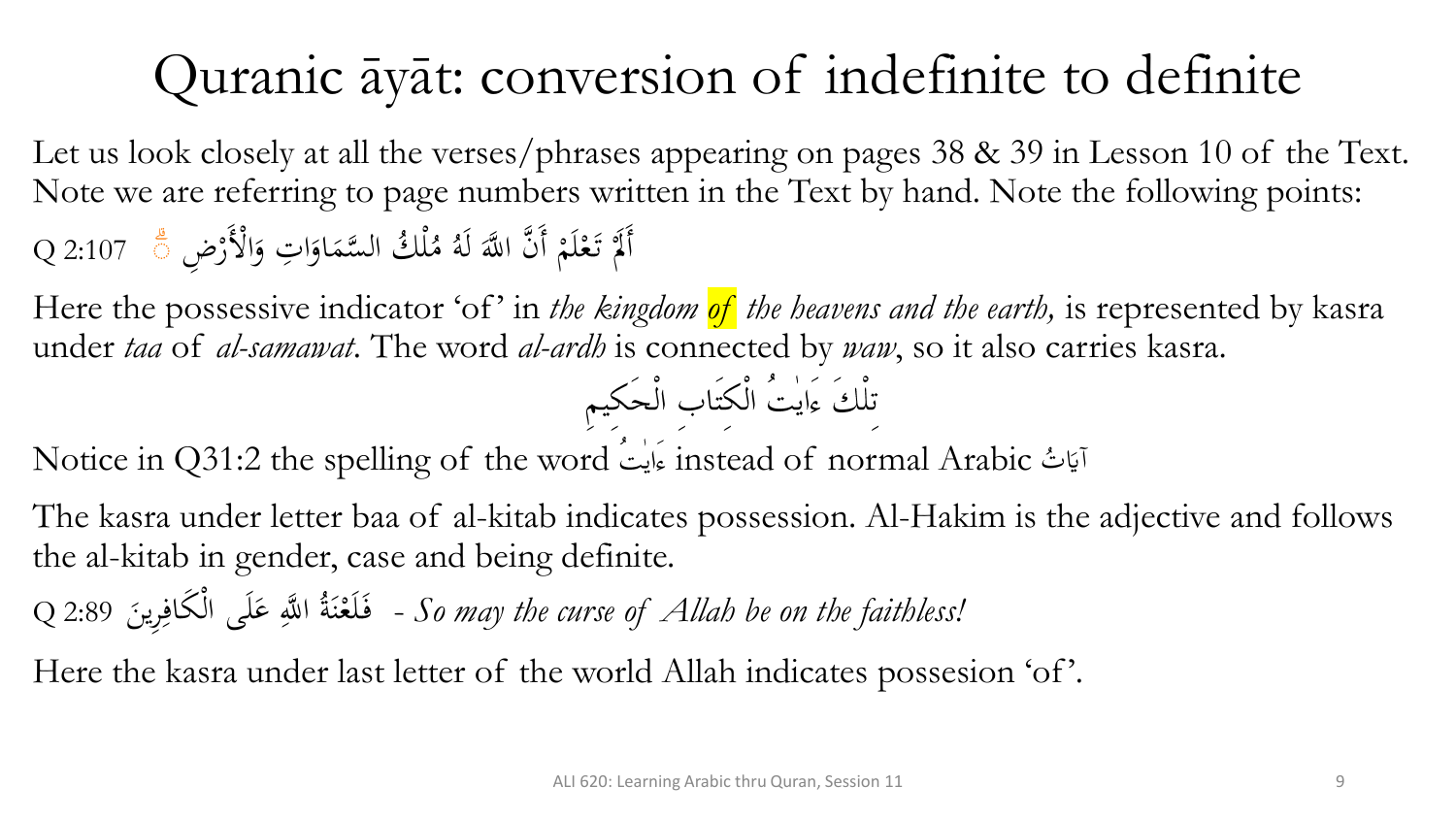# Quranic āyāt: conversion of indefinite to definite

Let us look closely at all the verses/phrases appearing on pages 38 & 39 in Lesson 10 of the Text. Note we are referring to page numbers written in the Text by hand. Note the following points: ِت 2:107 Q او َّسم ُك ال ل ا َ  $\blacklozenge$ م **گر** و<br>هر أَلَمْ تَعْلَمْ أَنَّ اللَّهَ لَهُ مُلْكُ السَّمَاوَاتِ وَالْأَرْضِ  $\zeta$ م م ر<br>ا ا َ ۖ

Here the possessive indicator 'of' in *the kingdom of the heavens and the earth,* is represented by kasra under *taa* of *al-samawat*. The word *al-ardh* is connected by *waw*, so it also carries kasra.

Notice in Q31:2 the spelling of the word instead of normal Arabic ت آيَاتُ<br>ا

The kasra under letter baa of al-kitab indicates possession. Al-Hakim is the adjective and follows the al-kitab in gender, case and being definite.

Q 2:89 ِرين م َكاف لَى ال ع ا ََّّللِ ُ ة لَع ف - *So may the curse of Allah be on the faithless!*  $\ddot{\phantom{0}}$ ِ **ک**  $\ddot{\phantom{0}}$ ن م َ

Here the kasra under last letter of the world Allah indicates possesion 'of'.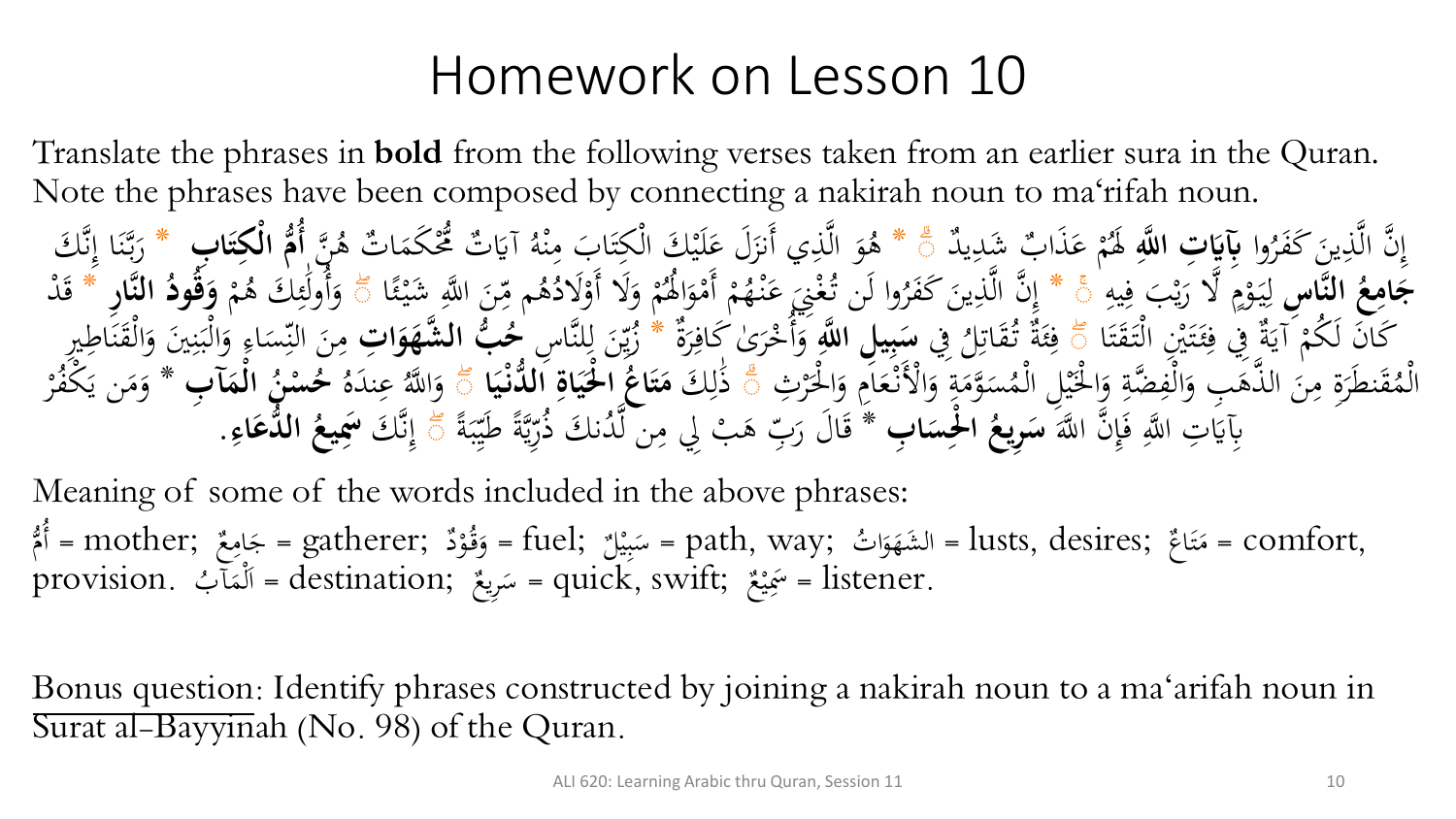### Homework on Lesson 10

Translate the phrases in **bold** from the following verses taken from an earlier sura in the Quran. Note the phrases have been composed by connecting a nakirah noun to ma'rifah noun.

وا ُ َر َكف َ ين ِ ذ َّ ن ال َّ ِ إ **َّللآ آت ا ه ا** د **آِبَي** ي ِ ب َشد َذا َ ع م م ُ ََل \* ۖ َ َل ع َ ي أَنز ِ ذ َّ ال َ و ُ ن ه َّ ُ ت ه ا َ َكم م ُم ُّ ت َ آَي ُ ه م ن ِ َب م ا َ ت مكِ م َك ال **م ا ُُّ آب** لَي **أ ا ا ت آ ْك** \* َك **ل** َّ ن ِ ا إ َ ن َّ ب َ ر **ها آس الن ُ ع آ ام ا ج** ِ يه ِ ف َ ب م ي َ ال ر َّ ٍ م م و َ ي ِ ل \* ۖ َ ع َ ِن م غ ُ وا لَن ت ُ َر َكف َ ين ِ ذ َّ ن ال َّ ِ إ ا ئ م َشي ا ََّّللِ َ ن ِ م م ُ ه ُ َالد م َال أَو َ و م م ُ َُل ا َ و م أَم م م ُ ه م ن ۖ َ و م م ُ َك ه ِ ئ ٰ **هاآر** ولَ **الن** ُ أ **ُ ود ُ ق ا** د َ م **و** \* ق ا َ ت َ ق َ ت م ال يِ َم ت َ ئ ِ ِِف ف ة َ آي م َن لَ ُكم َكا ۖ ِِف ُ ل ِ ات َ ُق ت ة َ ئ ِ ف **َّللآ ي آل ا ه آ ب ا س** ة َ ر ِ ٰى َكاف َ ر م خ ُ أ َ َّا ِس و \* لن ِ ل َ ِن ي ُ **آت** ز **ا ا او شه ب ال ه ُّ ُ ح** َ ن م ِري ِ اطِ َ ن َ ق م ال َ َي و ِ ن َ ب م ال َ و ِ اِ َ س ِ الن َ ْل م ا َ و امِ َ ع م مْلَن ا َ و ِ ة َ وم َّ َ ُس م م ِل ال م ي ْلَ م ا َ و ِ ضة َّ ِ ف م ال َ ِب و َ ذه َّ ال َ ن ِ ةِ م َ نطَر َ ق ُ م م ِث ال م ر ۖ َك ِ ل ٰ َذ **ا ا ي ْ دن ال ُّ آ اة ا ي ا ْل ْ ا ُ اع ا ت ا م** ۖ ُ ه َ ند عِ ُ ا ََّّلل َ و **آ آب ا م ْ ال ُ ن ْ س ُ ح** \* م ر ُ مكف َ ن ي َ م َ و َ ن ا ََّّلل َّ ِ إ َ ف ِت ا ََّّللِ ِِبَي **آب** َ **ا ا ْلآس ْ ا ُ آريع** َك **ا** دن ُ َّ **س** \* ن ل ِ ب ِِل م َ م ه بِ َ اَل ر َ ق ة َ ب ِ طَي َّة ي ِ ر ُ ذ َك َّ ن ِ ۖ إ **آ اء ا دع ال ُّ ُ يع اَسآ** .

Meaning of some of the words included in the above phrases: أَمُّ = gatherer; وَقُوْدٌ ;e fuel = سَبِيْلٌ = path, way; أَمُّ = lusts, desires; وَقُوْدٌ ;e gatherer = أَمُّ  $\mathbf{A}$ م<br>ن م ہ<br>پ ر<br>م ي  $\ddot{\cdot}$ ب  $\overline{\phantom{0}}$ ا ہ<br>س َ  $\ddot{\lambda}$ ت م<br>ا ب .provision ُ آ لمم ;destination = ا ِريع س = quick, swift; ع .listener <sup>=</sup>ََسِ  $\ddot{\phantom{0}}$  $\frac{1}{2}$  $\overline{\phantom{0}}$  $\ddot{\cdot}$ ي

Bonus question: Identify phrases constructed by joining a nakirah noun to a ma 'arifah noun in Surat al-Bayyinah (No. 98) of the Quran.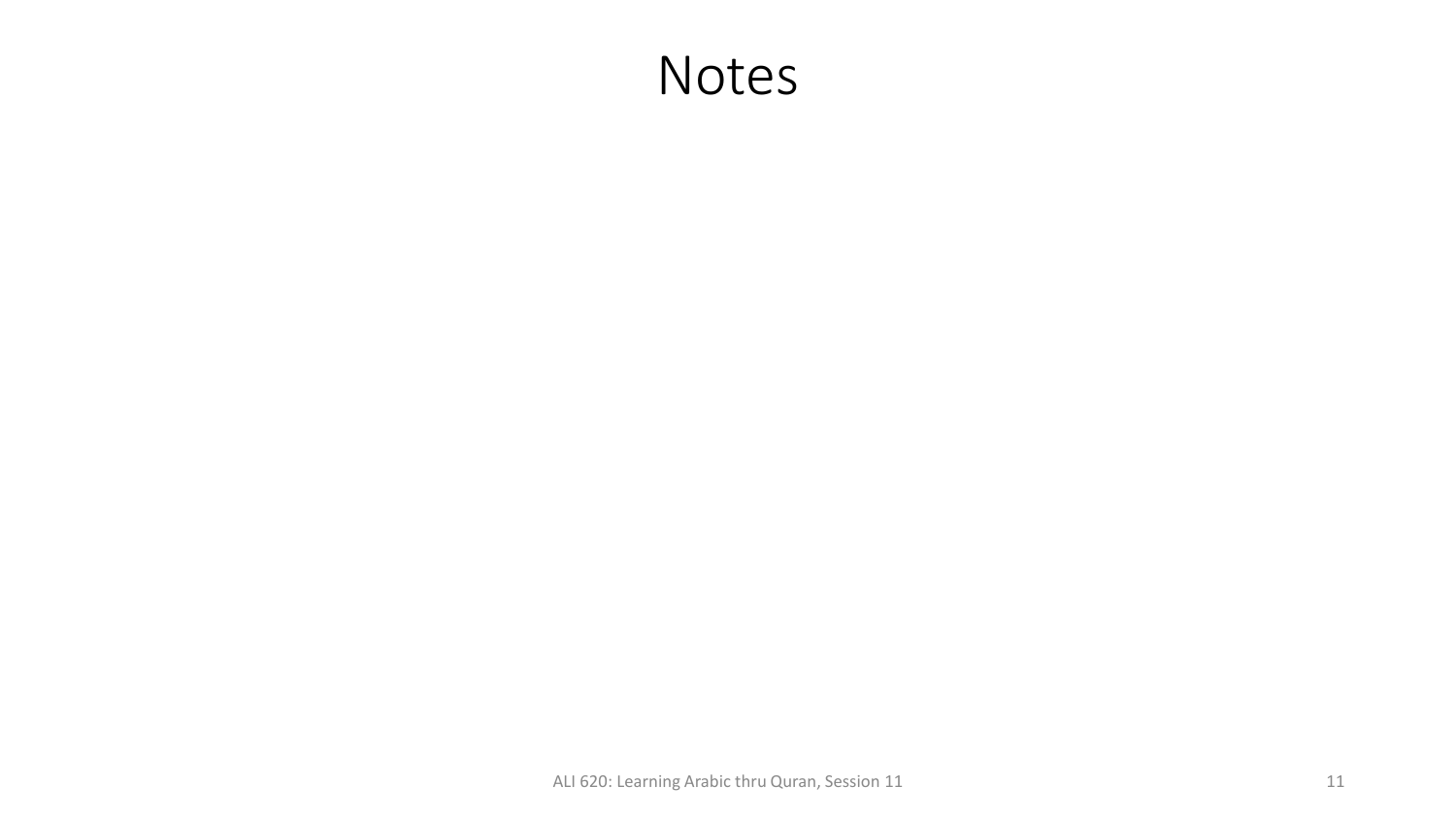#### Notes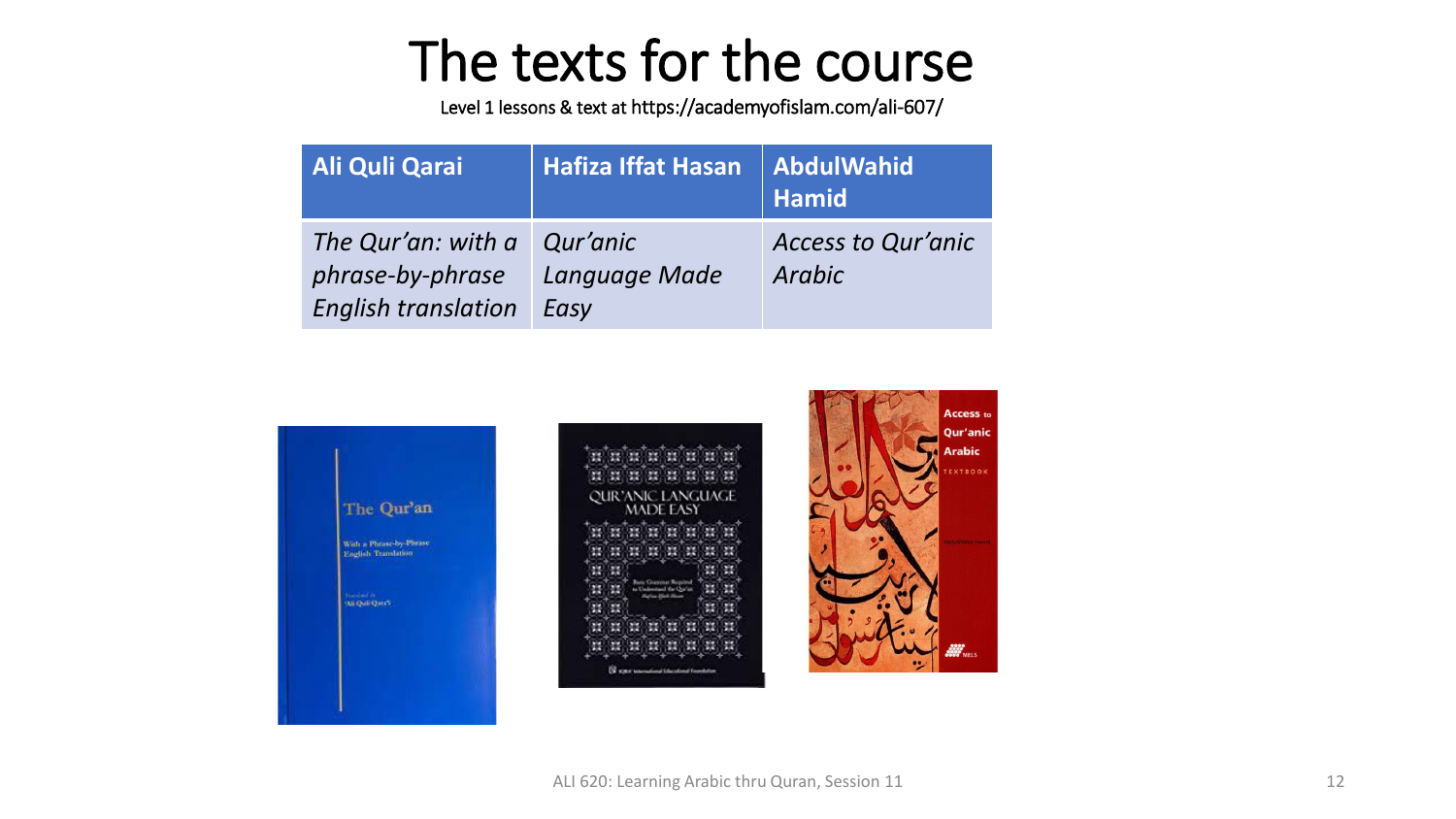# The texts for the course

Level 1 lessons & text at https://academyofislam.com/ali-607/

| <b>Ali Quli Qarai</b>                                                         | <b>Hafiza Iffat Hasan</b> | <b>AbdulWahid</b><br><b>Hamid</b>   |
|-------------------------------------------------------------------------------|---------------------------|-------------------------------------|
| The Qur'an: with a Qur'anic<br>phrase-by-phrase<br><b>English translation</b> | Language Made<br>Easy     | <b>Access to Qur'anic</b><br>Arabic |